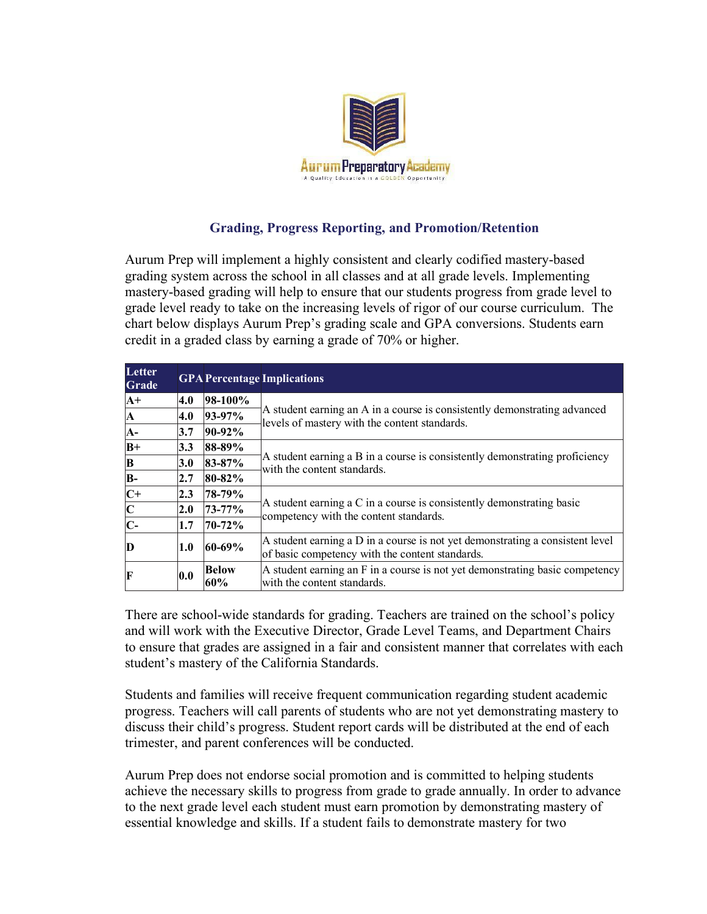

## **Grading, Progress Reporting, and Promotion/Retention**

Aurum Prep will implement a highly consistent and clearly codified mastery-based grading system across the school in all classes and at all grade levels. Implementing mastery-based grading will help to ensure that our students progress from grade level to grade level ready to take on the increasing levels of rigor of our course curriculum. The chart below displays Aurum Prep's grading scale and GPA conversions. Students earn credit in a graded class by earning a grade of 70% or higher.

| Letter<br><b>Grade</b> |            |                     | <b>GPA Percentage Implications</b>                                                                                               |
|------------------------|------------|---------------------|----------------------------------------------------------------------------------------------------------------------------------|
| $A+$                   | 4.0        | 98-100%             | A student earning an A in a course is consistently demonstrating advanced<br>levels of mastery with the content standards.       |
| IА                     | 4.0        | $93-97%$            |                                                                                                                                  |
| IA-                    | 3.7        | $90-92%$            |                                                                                                                                  |
| $B+$                   | 3.3        | 88-89%              | A student earning a B in a course is consistently demonstrating proficiency<br>with the content standards.                       |
| B                      | 3.0        | $83 - 87%$          |                                                                                                                                  |
| B-                     | 2.7        | $80 - 82%$          |                                                                                                                                  |
| $C+$                   | 2.3        | 78-79%              | A student earning a C in a course is consistently demonstrating basic<br>competency with the content standards.                  |
| $\mathbf{C}$           | 2.0        | 73-77%              |                                                                                                                                  |
| IC-                    | 1.7        | 70-72%              |                                                                                                                                  |
| D                      | 1.0        | $60 - 69%$          | A student earning a D in a course is not yet demonstrating a consistent level<br>of basic competency with the content standards. |
| F                      | $\bf{0.0}$ | <b>Below</b><br>60% | A student earning an F in a course is not yet demonstrating basic competency<br>with the content standards.                      |

There are school-wide standards for grading. Teachers are trained on the school's policy and will work with the Executive Director, Grade Level Teams, and Department Chairs to ensure that grades are assigned in a fair and consistent manner that correlates with each student's mastery of the California Standards.

Students and families will receive frequent communication regarding student academic progress. Teachers will call parents of students who are not yet demonstrating mastery to discuss their child's progress. Student report cards will be distributed at the end of each trimester, and parent conferences will be conducted.

Aurum Prep does not endorse social promotion and is committed to helping students achieve the necessary skills to progress from grade to grade annually. In order to advance to the next grade level each student must earn promotion by demonstrating mastery of essential knowledge and skills. If a student fails to demonstrate mastery for two